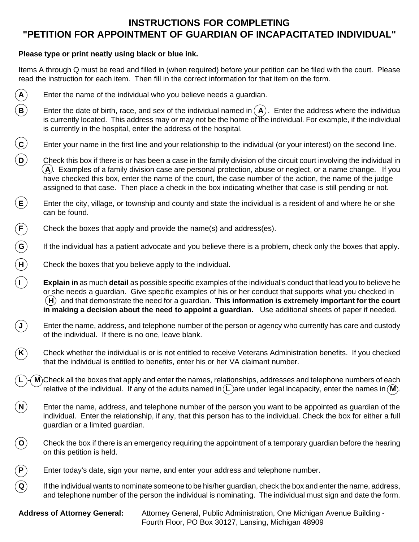## **INSTRUCTIONS FOR COMPLETING "PETITION FOR APPOINTMENT OF GUARDIAN OF INCAPACITATED INDIVIDUAL"**

## **Please type or print neatly using black or blue ink.**

Items A through Q must be read and filled in (when required) before your petition can be filed with the court. Please read the instruction for each item. Then fill in the correct information for that item on the form.

- $\bf{A}$  Enter the name of the individual who you believe needs a guardian.
- **B**) Enter the date of birth, race, and sex of the individual named in  $(A)$ . Enter the address where the individua is currently located. This address may or may not be the home of the individual. For example, if the individual is currently in the hospital, enter the address of the hospital.
- **C** Enter your name in the first line and your relationship to the individual (or your interest) on the second line.
- **D** Check this box if there is or has been a case in the family division of the circuit court involving the individual in  $(A)$ . Examples of a family division case are personal protection, abuse or neglect, or a name change. If you have checked this box, enter the name of the court, the case number of the action, the name of the judge assigned to that case. Then place a check in the box indicating whether that case is still pending or not.
- $\mathsf{E}$   $\mathsf{E}$  Enter the city, village, or township and county and state the individual is a resident of and where he or she can be found.
- **F** Check the boxes that apply and provide the name(s) and address(es).
- **G** If the individual has a patient advocate and you believe there is a problem, check only the boxes that apply.
- **H** Check the boxes that you believe apply to the individual.
- **I Explain in** as much **detail** as possible specific examples of the individual's conduct that lead you to believe he<br>This ar her conduct that supports what you checked in or she needs a guardian. Give specific examples of his or her conduct that supports what you checked in **H** and that demonstrate the need for a guardian. **This information is extremely important for the court in making a decision about the need to appoint a guardian.** Use additional sheets of paper if needed.
- ${\sf (J)}$  Enter the name, address, and telephone number of the person or agency who currently has care and custody of the individual. If there is no one, leave blank.
- **K**) Check whether the individual is or is not entitled to receive Veterans Administration benefits. If you checked that the individual is entitled to benefits, enter his or her VA claimant number.
- **M**)Check all the boxes that apply and enter the names, relationships, addresses and telephone numbers of each relative of the individual. If any of the adults named in  $(L)$  are under legal incapacity, enter the names in  $(M)$ .
- **N** Enter the name, address, and telephone number of the person you want to be appointed as guardian of the individual. Enter the relationship, if any, that this person has to the individual. Check the box for either a full guardian or a limited guardian.
- $\bf{(0)}$  Check the box if there is an emergency requiring the appointment of a temporary guardian before the hearing on this petition is held.
- **P** Enter today's date, sign your name, and enter your address and telephone number.
- $\bf Q$  If the individual wants to nominate someone to be his/her guardian, check the box and enter the name, address, and telephone number of the person the individual is nominating. The individual must sign and date the form.

**Address of Attorney General:** Attorney General, Public Administration, One Michigan Avenue Building - Fourth Floor, PO Box 30127, Lansing, Michigan 48909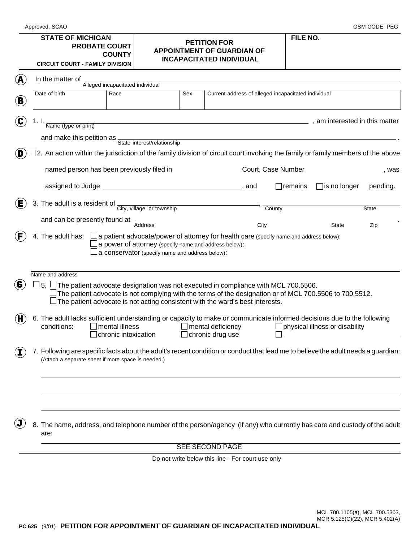## **STATE OF MICHIGAN PROBATE COURT COUNTY**

**CIRCUIT COURT - FAMILY DIVISION**

## **FILE NO. PETITION FOR APPOINTMENT OF GUARDIAN OF INCAPACITATED INDIVIDUAL**

Approved, SCAO OSM CODE: PEG

|                                                                                                                                        | Date of birth    | Alleged incapacitated individual<br>Race                                                                                                                                                                                                                                                        | Sex |                                                                                                            |                   | Current address of alleged incapacitated individual |                                       |              |
|----------------------------------------------------------------------------------------------------------------------------------------|------------------|-------------------------------------------------------------------------------------------------------------------------------------------------------------------------------------------------------------------------------------------------------------------------------------------------|-----|------------------------------------------------------------------------------------------------------------|-------------------|-----------------------------------------------------|---------------------------------------|--------------|
|                                                                                                                                        |                  |                                                                                                                                                                                                                                                                                                 |     |                                                                                                            |                   |                                                     |                                       |              |
|                                                                                                                                        |                  |                                                                                                                                                                                                                                                                                                 |     |                                                                                                            |                   |                                                     |                                       |              |
| am interested in this matter (and the set of the set of the set of the set of the set of the set of the set of<br>Name (type or print) |                  |                                                                                                                                                                                                                                                                                                 |     |                                                                                                            |                   |                                                     |                                       |              |
|                                                                                                                                        |                  | and make this petition as State interest/relationship                                                                                                                                                                                                                                           |     |                                                                                                            |                   |                                                     |                                       |              |
|                                                                                                                                        |                  | 2. An action within the jurisdiction of the family division of circuit court involving the family or family members of the above                                                                                                                                                                |     |                                                                                                            |                   |                                                     |                                       |              |
|                                                                                                                                        |                  |                                                                                                                                                                                                                                                                                                 |     | named person has been previously filed in_____________________Court, Case Number_____________________, was |                   |                                                     |                                       |              |
|                                                                                                                                        |                  |                                                                                                                                                                                                                                                                                                 |     |                                                                                                            |                   | remains                                             | $\Box$ is no longer                   | pending.     |
|                                                                                                                                        |                  | 3. The adult is a resident of $\frac{C_{\text{ity, village, or township}}}{\text{City, village, or township}}$                                                                                                                                                                                  |     |                                                                                                            |                   | County                                              |                                       | <b>State</b> |
|                                                                                                                                        |                  |                                                                                                                                                                                                                                                                                                 |     |                                                                                                            |                   |                                                     |                                       |              |
|                                                                                                                                        |                  | and can be presently found at $\frac{1}{\text{Address}}$                                                                                                                                                                                                                                        |     |                                                                                                            | $\overline{City}$ |                                                     | State                                 | Zip          |
|                                                                                                                                        |                  |                                                                                                                                                                                                                                                                                                 |     | a conservator (specify name and address below):                                                            |                   |                                                     |                                       |              |
|                                                                                                                                        | Name and address |                                                                                                                                                                                                                                                                                                 |     |                                                                                                            |                   |                                                     |                                       |              |
|                                                                                                                                        |                  | $\bot$ 5. $\Box$ The patient advocate designation was not executed in compliance with MCL 700.5506.<br>The patient advocate is not complying with the terms of the designation or of MCL 700.5506 to 700.5512.<br>The patient advocate is not acting consistent with the ward's best interests. |     |                                                                                                            |                   |                                                     |                                       |              |
|                                                                                                                                        | conditions:      | 6. The adult lacks sufficient understanding or capacity to make or communicate informed decisions due to the following<br>mental illness<br>chronic intoxication                                                                                                                                |     | $\Box$ mental deficiency<br>$\Box$ chronic drug use                                                        |                   |                                                     | $\Box$ physical illness or disability |              |
|                                                                                                                                        |                  | 7. Following are specific facts about the adult's recent condition or conduct that lead me to believe the adult needs a guardian:<br>(Attach a separate sheet if more space is needed.)                                                                                                         |     |                                                                                                            |                   |                                                     |                                       |              |
|                                                                                                                                        |                  |                                                                                                                                                                                                                                                                                                 |     |                                                                                                            |                   |                                                     |                                       |              |
|                                                                                                                                        | are:             | 8. The name, address, and telephone number of the person/agency (if any) who currently has care and custody of the adult                                                                                                                                                                        |     |                                                                                                            |                   |                                                     |                                       |              |
|                                                                                                                                        |                  |                                                                                                                                                                                                                                                                                                 |     | <b>SEE SECOND PAGE</b>                                                                                     |                   |                                                     |                                       |              |